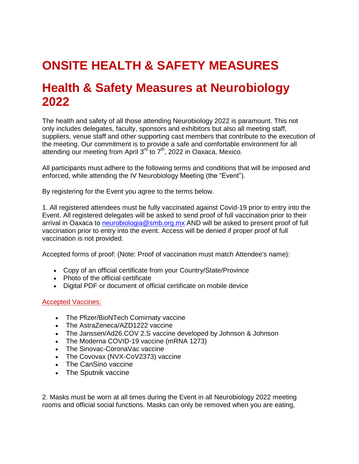## **ONSITE HEALTH & SAFETY MEASURES**

## **Health & Safety Measures at Neurobiology 2022**

The health and safety of all those attending Neurobiology 2022 is paramount. This not only includes delegates, faculty, sponsors and exhibitors but also all meeting staff, suppliers, venue staff and other supporting cast members that contribute to the execution of the meeting. Our commitment is to provide a safe and comfortable environment for all attending our meeting from April 3<sup>rd</sup> to 7<sup>th</sup>, 2022 in Oaxaca, Mexico.

All participants must adhere to the following terms and conditions that will be imposed and enforced, while attending the IV Neurobiology Meeting (the "Event").

By registering for the Event you agree to the terms below.

1. All registered attendees must be fully vaccinated against Covid-19 prior to entry into the Event. All registered delegates will be asked to send proof of full vaccination prior to their arrival in Oaxaca to [neurobiologia@smb.org.mx](mailto:neurobiologia@smb.org.mx) AND will be asked to present proof of full vaccination prior to entry into the event. Access will be denied if proper proof of full vaccination is not provided.

Accepted forms of proof: (Note: Proof of vaccination must match Attendee's name):

- Copy of an official certificate from your Country/State/Province
- Photo of the official certificate
- Digital PDF or document of official certificate on mobile device

## Accepted Vaccines:

- The Pfizer/BioNTech Comirnaty vaccine
- The AstraZeneca/AZD1222 vaccine
- The Janssen/Ad26.COV 2.S vaccine developed by Johnson & Johnson
- The Moderna COVID-19 vaccine (mRNA 1273)
- The Sinovac-CoronaVac vaccine
- The Covovax (NVX-CoV2373) vaccine
- The CanSino vaccine
- The Sputnik vaccine

2. Masks must be worn at all times during the Event in all Neurobiology 2022 meeting rooms and official social functions. Masks can only be removed when you are eating,